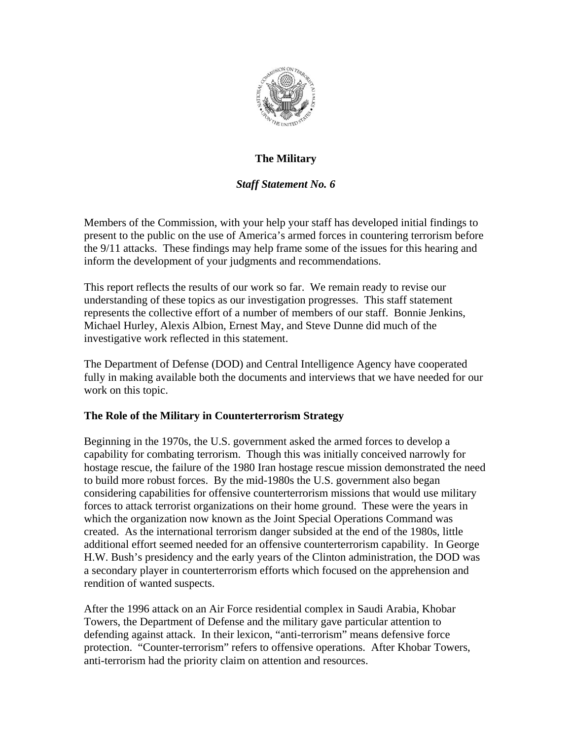

# **The Military**

# *Staff Statement No. 6*

Members of the Commission, with your help your staff has developed initial findings to present to the public on the use of America's armed forces in countering terrorism before the 9/11 attacks. These findings may help frame some of the issues for this hearing and inform the development of your judgments and recommendations.

This report reflects the results of our work so far. We remain ready to revise our understanding of these topics as our investigation progresses. This staff statement represents the collective effort of a number of members of our staff. Bonnie Jenkins, Michael Hurley, Alexis Albion, Ernest May, and Steve Dunne did much of the investigative work reflected in this statement.

The Department of Defense (DOD) and Central Intelligence Agency have cooperated fully in making available both the documents and interviews that we have needed for our work on this topic.

# **The Role of the Military in Counterterrorism Strategy**

Beginning in the 1970s, the U.S. government asked the armed forces to develop a capability for combating terrorism. Though this was initially conceived narrowly for hostage rescue, the failure of the 1980 Iran hostage rescue mission demonstrated the need to build more robust forces. By the mid-1980s the U.S. government also began considering capabilities for offensive counterterrorism missions that would use military forces to attack terrorist organizations on their home ground. These were the years in which the organization now known as the Joint Special Operations Command was created. As the international terrorism danger subsided at the end of the 1980s, little additional effort seemed needed for an offensive counterterrorism capability. In George H.W. Bush's presidency and the early years of the Clinton administration, the DOD was a secondary player in counterterrorism efforts which focused on the apprehension and rendition of wanted suspects.

After the 1996 attack on an Air Force residential complex in Saudi Arabia, Khobar Towers, the Department of Defense and the military gave particular attention to defending against attack. In their lexicon, "anti-terrorism" means defensive force protection. "Counter-terrorism" refers to offensive operations. After Khobar Towers, anti-terrorism had the priority claim on attention and resources.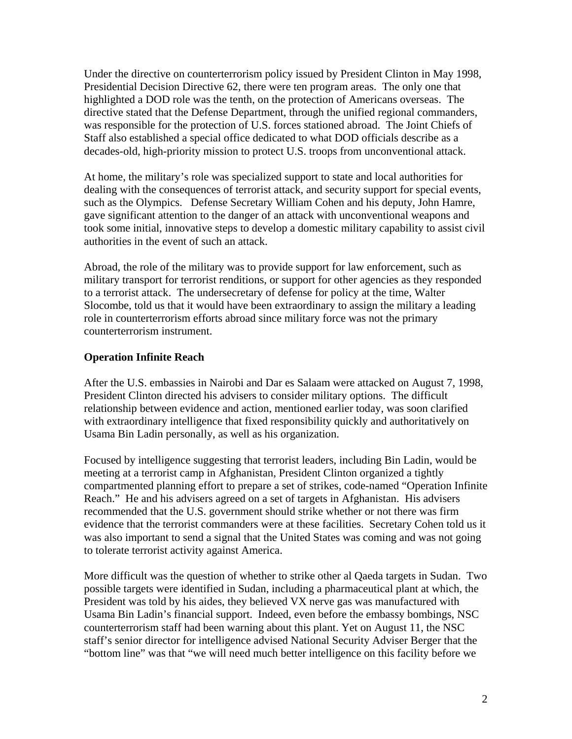Under the directive on counterterrorism policy issued by President Clinton in May 1998, Presidential Decision Directive 62, there were ten program areas. The only one that highlighted a DOD role was the tenth, on the protection of Americans overseas. The directive stated that the Defense Department, through the unified regional commanders, was responsible for the protection of U.S. forces stationed abroad. The Joint Chiefs of Staff also established a special office dedicated to what DOD officials describe as a decades-old, high-priority mission to protect U.S. troops from unconventional attack.

At home, the military's role was specialized support to state and local authorities for dealing with the consequences of terrorist attack, and security support for special events, such as the Olympics. Defense Secretary William Cohen and his deputy, John Hamre, gave significant attention to the danger of an attack with unconventional weapons and took some initial, innovative steps to develop a domestic military capability to assist civil authorities in the event of such an attack.

Abroad, the role of the military was to provide support for law enforcement, such as military transport for terrorist renditions, or support for other agencies as they responded to a terrorist attack. The undersecretary of defense for policy at the time, Walter Slocombe, told us that it would have been extraordinary to assign the military a leading role in counterterrorism efforts abroad since military force was not the primary counterterrorism instrument.

# **Operation Infinite Reach**

After the U.S. embassies in Nairobi and Dar es Salaam were attacked on August 7, 1998, President Clinton directed his advisers to consider military options. The difficult relationship between evidence and action, mentioned earlier today, was soon clarified with extraordinary intelligence that fixed responsibility quickly and authoritatively on Usama Bin Ladin personally, as well as his organization.

Focused by intelligence suggesting that terrorist leaders, including Bin Ladin, would be meeting at a terrorist camp in Afghanistan, President Clinton organized a tightly compartmented planning effort to prepare a set of strikes, code-named "Operation Infinite Reach." He and his advisers agreed on a set of targets in Afghanistan. His advisers recommended that the U.S. government should strike whether or not there was firm evidence that the terrorist commanders were at these facilities. Secretary Cohen told us it was also important to send a signal that the United States was coming and was not going to tolerate terrorist activity against America.

More difficult was the question of whether to strike other al Qaeda targets in Sudan. Two possible targets were identified in Sudan, including a pharmaceutical plant at which, the President was told by his aides, they believed VX nerve gas was manufactured with Usama Bin Ladin's financial support. Indeed, even before the embassy bombings, NSC counterterrorism staff had been warning about this plant. Yet on August 11, the NSC staff's senior director for intelligence advised National Security Adviser Berger that the "bottom line" was that "we will need much better intelligence on this facility before we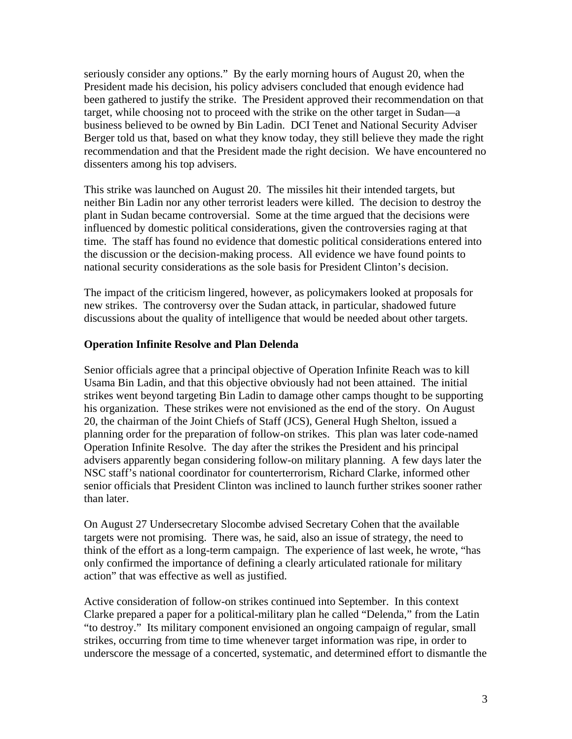seriously consider any options." By the early morning hours of August 20, when the President made his decision, his policy advisers concluded that enough evidence had been gathered to justify the strike. The President approved their recommendation on that target, while choosing not to proceed with the strike on the other target in Sudan—a business believed to be owned by Bin Ladin. DCI Tenet and National Security Adviser Berger told us that, based on what they know today, they still believe they made the right recommendation and that the President made the right decision. We have encountered no dissenters among his top advisers.

This strike was launched on August 20. The missiles hit their intended targets, but neither Bin Ladin nor any other terrorist leaders were killed. The decision to destroy the plant in Sudan became controversial. Some at the time argued that the decisions were influenced by domestic political considerations, given the controversies raging at that time. The staff has found no evidence that domestic political considerations entered into the discussion or the decision-making process. All evidence we have found points to national security considerations as the sole basis for President Clinton's decision.

The impact of the criticism lingered, however, as policymakers looked at proposals for new strikes. The controversy over the Sudan attack, in particular, shadowed future discussions about the quality of intelligence that would be needed about other targets.

### **Operation Infinite Resolve and Plan Delenda**

Senior officials agree that a principal objective of Operation Infinite Reach was to kill Usama Bin Ladin, and that this objective obviously had not been attained. The initial strikes went beyond targeting Bin Ladin to damage other camps thought to be supporting his organization. These strikes were not envisioned as the end of the story. On August 20, the chairman of the Joint Chiefs of Staff (JCS), General Hugh Shelton, issued a planning order for the preparation of follow-on strikes. This plan was later code-named Operation Infinite Resolve. The day after the strikes the President and his principal advisers apparently began considering follow-on military planning. A few days later the NSC staff's national coordinator for counterterrorism, Richard Clarke, informed other senior officials that President Clinton was inclined to launch further strikes sooner rather than later.

On August 27 Undersecretary Slocombe advised Secretary Cohen that the available targets were not promising. There was, he said, also an issue of strategy, the need to think of the effort as a long-term campaign. The experience of last week, he wrote, "has only confirmed the importance of defining a clearly articulated rationale for military action" that was effective as well as justified.

Active consideration of follow-on strikes continued into September. In this context Clarke prepared a paper for a political-military plan he called "Delenda," from the Latin "to destroy." Its military component envisioned an ongoing campaign of regular, small strikes, occurring from time to time whenever target information was ripe, in order to underscore the message of a concerted, systematic, and determined effort to dismantle the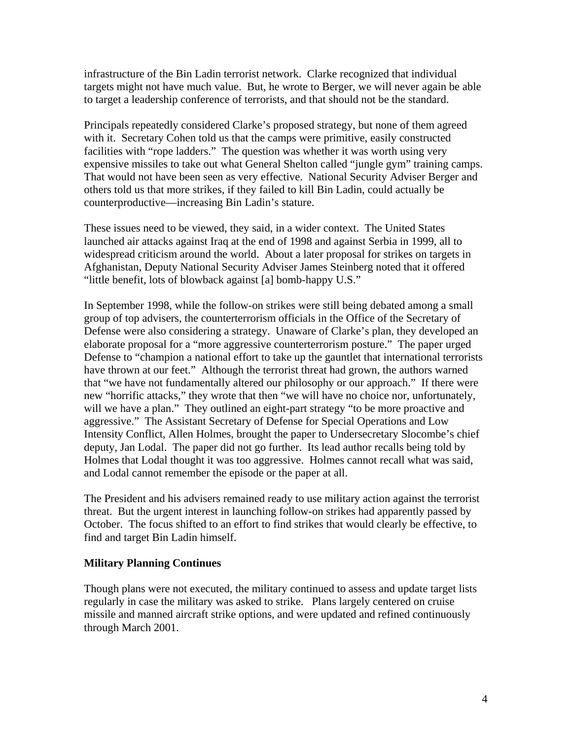infrastructure of the Bin Ladin terrorist network. Clarke recognized that individual targets might not have much value. But, he wrote to Berger, we will never again be able to target a leadership conference of terrorists, and that should not be the standard.

Principals repeatedly considered Clarke's proposed strategy, but none of them agreed with it. Secretary Cohen told us that the camps were primitive, easily constructed facilities with "rope ladders." The question was whether it was worth using very expensive missiles to take out what General Shelton called "jungle gym" training camps. That would not have been seen as very effective. National Security Adviser Berger and others told us that more strikes, if they failed to kill Bin Ladin, could actually be counterproductive—increasing Bin Ladin's stature.

These issues need to be viewed, they said, in a wider context. The United States launched air attacks against Iraq at the end of 1998 and against Serbia in 1999, all to widespread criticism around the world. About a later proposal for strikes on targets in Afghanistan, Deputy National Security Adviser James Steinberg noted that it offered "little benefit, lots of blowback against [a] bomb-happy U.S."

In September 1998, while the follow-on strikes were still being debated among a small group of top advisers, the counterterrorism officials in the Office of the Secretary of Defense were also considering a strategy. Unaware of Clarke's plan, they developed an elaborate proposal for a "more aggressive counterterrorism posture." The paper urged Defense to "champion a national effort to take up the gauntlet that international terrorists have thrown at our feet." Although the terrorist threat had grown, the authors warned that "we have not fundamentally altered our philosophy or our approach." If there were new "horrific attacks," they wrote that then "we will have no choice nor, unfortunately, will we have a plan." They outlined an eight-part strategy "to be more proactive and aggressive." The Assistant Secretary of Defense for Special Operations and Low Intensity Conflict, Allen Holmes, brought the paper to Undersecretary Slocombe's chief deputy, Jan Lodal. The paper did not go further. Its lead author recalls being told by Holmes that Lodal thought it was too aggressive. Holmes cannot recall what was said, and Lodal cannot remember the episode or the paper at all.

The President and his advisers remained ready to use military action against the terrorist threat. But the urgent interest in launching follow-on strikes had apparently passed by October. The focus shifted to an effort to find strikes that would clearly be effective, to find and target Bin Ladin himself.

### **Military Planning Continues**

Though plans were not executed, the military continued to assess and update target lists regularly in case the military was asked to strike. Plans largely centered on cruise missile and manned aircraft strike options, and were updated and refined continuously through March 2001.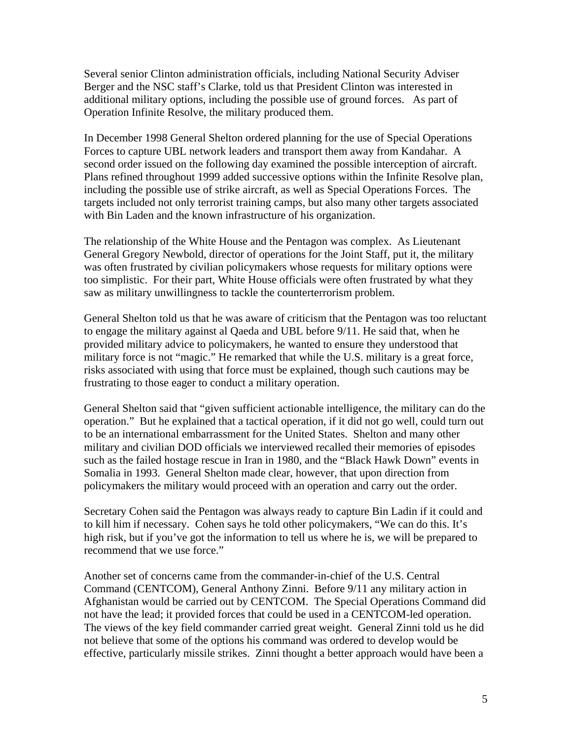Several senior Clinton administration officials, including National Security Adviser Berger and the NSC staff's Clarke, told us that President Clinton was interested in additional military options, including the possible use of ground forces. As part of Operation Infinite Resolve, the military produced them.

In December 1998 General Shelton ordered planning for the use of Special Operations Forces to capture UBL network leaders and transport them away from Kandahar. A second order issued on the following day examined the possible interception of aircraft. Plans refined throughout 1999 added successive options within the Infinite Resolve plan, including the possible use of strike aircraft, as well as Special Operations Forces. The targets included not only terrorist training camps, but also many other targets associated with Bin Laden and the known infrastructure of his organization.

The relationship of the White House and the Pentagon was complex. As Lieutenant General Gregory Newbold, director of operations for the Joint Staff, put it, the military was often frustrated by civilian policymakers whose requests for military options were too simplistic. For their part, White House officials were often frustrated by what they saw as military unwillingness to tackle the counterterrorism problem.

General Shelton told us that he was aware of criticism that the Pentagon was too reluctant to engage the military against al Qaeda and UBL before 9/11. He said that, when he provided military advice to policymakers, he wanted to ensure they understood that military force is not "magic." He remarked that while the U.S. military is a great force, risks associated with using that force must be explained, though such cautions may be frustrating to those eager to conduct a military operation.

General Shelton said that "given sufficient actionable intelligence, the military can do the operation." But he explained that a tactical operation, if it did not go well, could turn out to be an international embarrassment for the United States. Shelton and many other military and civilian DOD officials we interviewed recalled their memories of episodes such as the failed hostage rescue in Iran in 1980, and the "Black Hawk Down" events in Somalia in 1993. General Shelton made clear, however, that upon direction from policymakers the military would proceed with an operation and carry out the order.

Secretary Cohen said the Pentagon was always ready to capture Bin Ladin if it could and to kill him if necessary. Cohen says he told other policymakers, "We can do this. It's high risk, but if you've got the information to tell us where he is, we will be prepared to recommend that we use force."

Another set of concerns came from the commander-in-chief of the U.S. Central Command (CENTCOM), General Anthony Zinni. Before 9/11 any military action in Afghanistan would be carried out by CENTCOM. The Special Operations Command did not have the lead; it provided forces that could be used in a CENTCOM-led operation. The views of the key field commander carried great weight. General Zinni told us he did not believe that some of the options his command was ordered to develop would be effective, particularly missile strikes. Zinni thought a better approach would have been a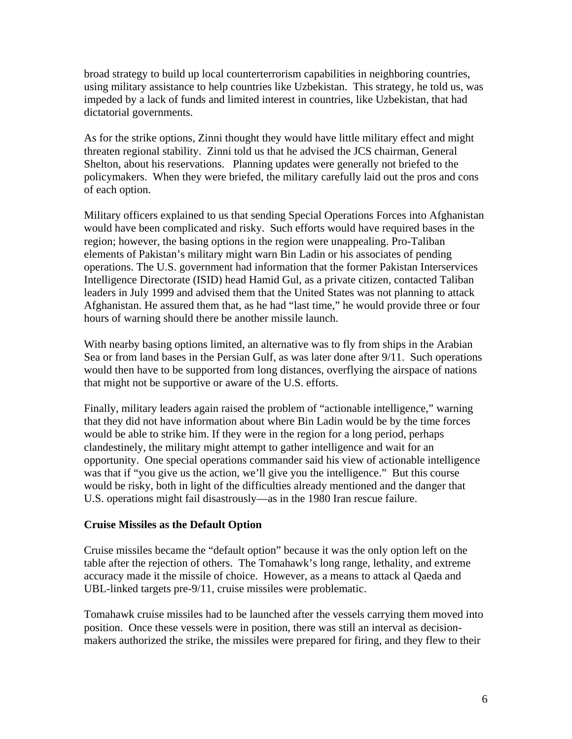broad strategy to build up local counterterrorism capabilities in neighboring countries, using military assistance to help countries like Uzbekistan. This strategy, he told us, was impeded by a lack of funds and limited interest in countries, like Uzbekistan, that had dictatorial governments.

As for the strike options, Zinni thought they would have little military effect and might threaten regional stability. Zinni told us that he advised the JCS chairman, General Shelton, about his reservations. Planning updates were generally not briefed to the policymakers. When they were briefed, the military carefully laid out the pros and cons of each option.

Military officers explained to us that sending Special Operations Forces into Afghanistan would have been complicated and risky. Such efforts would have required bases in the region; however, the basing options in the region were unappealing. Pro-Taliban elements of Pakistan's military might warn Bin Ladin or his associates of pending operations. The U.S. government had information that the former Pakistan Interservices Intelligence Directorate (ISID) head Hamid Gul, as a private citizen, contacted Taliban leaders in July 1999 and advised them that the United States was not planning to attack Afghanistan. He assured them that, as he had "last time," he would provide three or four hours of warning should there be another missile launch.

With nearby basing options limited, an alternative was to fly from ships in the Arabian Sea or from land bases in the Persian Gulf, as was later done after 9/11. Such operations would then have to be supported from long distances, overflying the airspace of nations that might not be supportive or aware of the U.S. efforts.

Finally, military leaders again raised the problem of "actionable intelligence," warning that they did not have information about where Bin Ladin would be by the time forces would be able to strike him. If they were in the region for a long period, perhaps clandestinely, the military might attempt to gather intelligence and wait for an opportunity. One special operations commander said his view of actionable intelligence was that if "you give us the action, we'll give you the intelligence." But this course would be risky, both in light of the difficulties already mentioned and the danger that U.S. operations might fail disastrously—as in the 1980 Iran rescue failure.

### **Cruise Missiles as the Default Option**

Cruise missiles became the "default option" because it was the only option left on the table after the rejection of others. The Tomahawk's long range, lethality, and extreme accuracy made it the missile of choice. However, as a means to attack al Qaeda and UBL-linked targets pre-9/11, cruise missiles were problematic.

Tomahawk cruise missiles had to be launched after the vessels carrying them moved into position. Once these vessels were in position, there was still an interval as decisionmakers authorized the strike, the missiles were prepared for firing, and they flew to their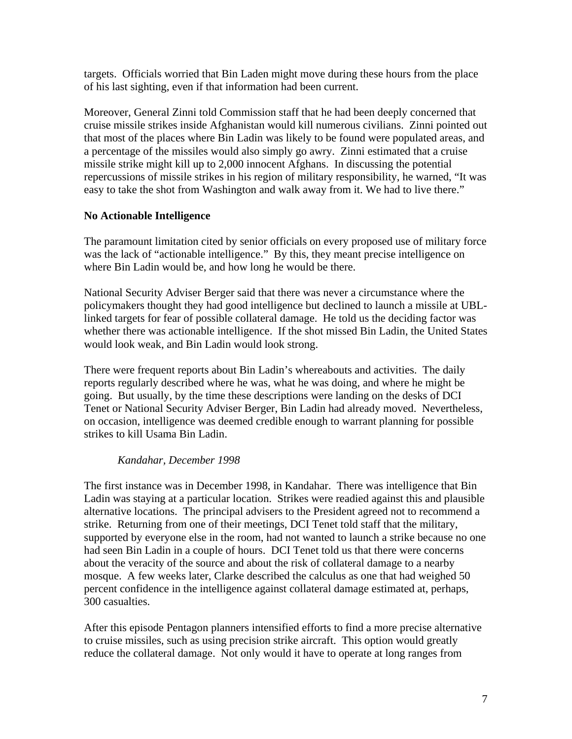targets. Officials worried that Bin Laden might move during these hours from the place of his last sighting, even if that information had been current.

Moreover, General Zinni told Commission staff that he had been deeply concerned that cruise missile strikes inside Afghanistan would kill numerous civilians. Zinni pointed out that most of the places where Bin Ladin was likely to be found were populated areas, and a percentage of the missiles would also simply go awry. Zinni estimated that a cruise missile strike might kill up to 2,000 innocent Afghans. In discussing the potential repercussions of missile strikes in his region of military responsibility, he warned, "It was easy to take the shot from Washington and walk away from it. We had to live there."

# **No Actionable Intelligence**

The paramount limitation cited by senior officials on every proposed use of military force was the lack of "actionable intelligence." By this, they meant precise intelligence on where Bin Ladin would be, and how long he would be there.

National Security Adviser Berger said that there was never a circumstance where the policymakers thought they had good intelligence but declined to launch a missile at UBLlinked targets for fear of possible collateral damage. He told us the deciding factor was whether there was actionable intelligence. If the shot missed Bin Ladin, the United States would look weak, and Bin Ladin would look strong.

There were frequent reports about Bin Ladin's whereabouts and activities. The daily reports regularly described where he was, what he was doing, and where he might be going. But usually, by the time these descriptions were landing on the desks of DCI Tenet or National Security Adviser Berger, Bin Ladin had already moved. Nevertheless, on occasion, intelligence was deemed credible enough to warrant planning for possible strikes to kill Usama Bin Ladin.

# *Kandahar, December 1998*

The first instance was in December 1998, in Kandahar. There was intelligence that Bin Ladin was staying at a particular location. Strikes were readied against this and plausible alternative locations. The principal advisers to the President agreed not to recommend a strike. Returning from one of their meetings, DCI Tenet told staff that the military, supported by everyone else in the room, had not wanted to launch a strike because no one had seen Bin Ladin in a couple of hours. DCI Tenet told us that there were concerns about the veracity of the source and about the risk of collateral damage to a nearby mosque. A few weeks later, Clarke described the calculus as one that had weighed 50 percent confidence in the intelligence against collateral damage estimated at, perhaps, 300 casualties.

After this episode Pentagon planners intensified efforts to find a more precise alternative to cruise missiles, such as using precision strike aircraft. This option would greatly reduce the collateral damage. Not only would it have to operate at long ranges from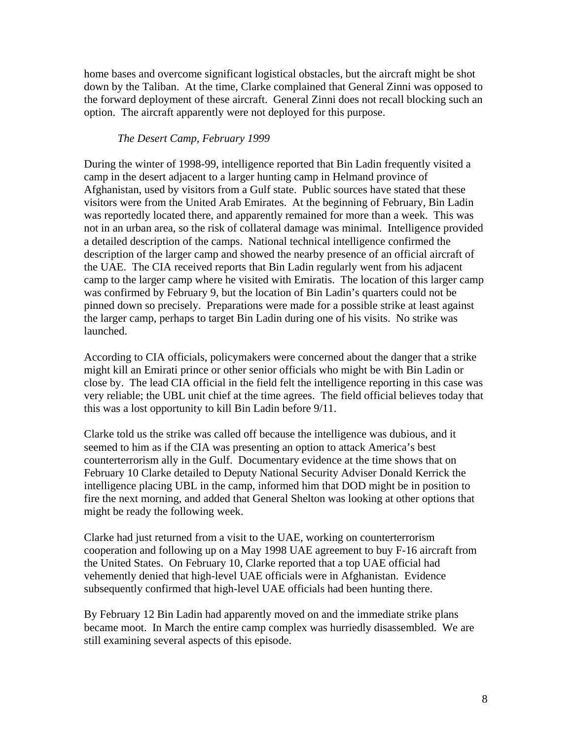home bases and overcome significant logistical obstacles, but the aircraft might be shot down by the Taliban. At the time, Clarke complained that General Zinni was opposed to the forward deployment of these aircraft. General Zinni does not recall blocking such an option. The aircraft apparently were not deployed for this purpose.

#### *The Desert Camp, February 1999*

During the winter of 1998-99, intelligence reported that Bin Ladin frequently visited a camp in the desert adjacent to a larger hunting camp in Helmand province of Afghanistan, used by visitors from a Gulf state. Public sources have stated that these visitors were from the United Arab Emirates. At the beginning of February, Bin Ladin was reportedly located there, and apparently remained for more than a week. This was not in an urban area, so the risk of collateral damage was minimal. Intelligence provided a detailed description of the camps. National technical intelligence confirmed the description of the larger camp and showed the nearby presence of an official aircraft of the UAE. The CIA received reports that Bin Ladin regularly went from his adjacent camp to the larger camp where he visited with Emiratis. The location of this larger camp was confirmed by February 9, but the location of Bin Ladin's quarters could not be pinned down so precisely. Preparations were made for a possible strike at least against the larger camp, perhaps to target Bin Ladin during one of his visits. No strike was launched.

According to CIA officials, policymakers were concerned about the danger that a strike might kill an Emirati prince or other senior officials who might be with Bin Ladin or close by. The lead CIA official in the field felt the intelligence reporting in this case was very reliable; the UBL unit chief at the time agrees. The field official believes today that this was a lost opportunity to kill Bin Ladin before 9/11.

Clarke told us the strike was called off because the intelligence was dubious, and it seemed to him as if the CIA was presenting an option to attack America's best counterterrorism ally in the Gulf. Documentary evidence at the time shows that on February 10 Clarke detailed to Deputy National Security Adviser Donald Kerrick the intelligence placing UBL in the camp, informed him that DOD might be in position to fire the next morning, and added that General Shelton was looking at other options that might be ready the following week.

Clarke had just returned from a visit to the UAE, working on counterterrorism cooperation and following up on a May 1998 UAE agreement to buy F-16 aircraft from the United States. On February 10, Clarke reported that a top UAE official had vehemently denied that high-level UAE officials were in Afghanistan. Evidence subsequently confirmed that high-level UAE officials had been hunting there.

By February 12 Bin Ladin had apparently moved on and the immediate strike plans became moot. In March the entire camp complex was hurriedly disassembled. We are still examining several aspects of this episode.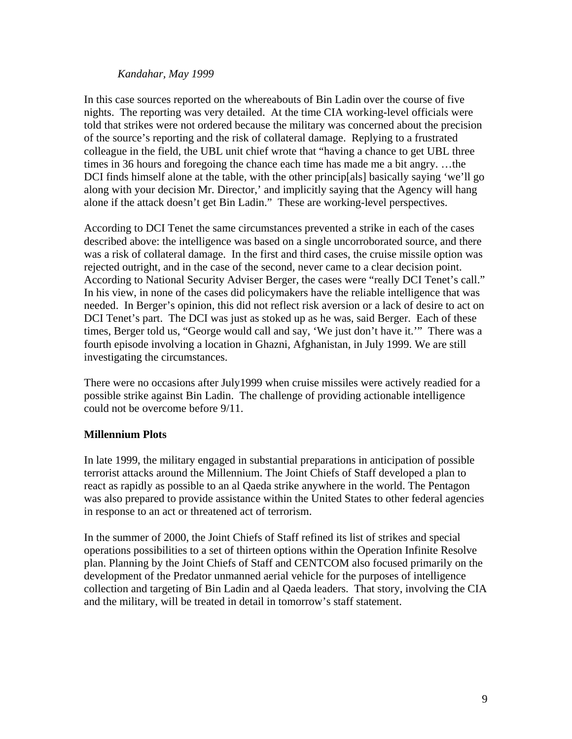### *Kandahar, May 1999*

In this case sources reported on the whereabouts of Bin Ladin over the course of five nights. The reporting was very detailed. At the time CIA working-level officials were told that strikes were not ordered because the military was concerned about the precision of the source's reporting and the risk of collateral damage. Replying to a frustrated colleague in the field, the UBL unit chief wrote that "having a chance to get UBL three times in 36 hours and foregoing the chance each time has made me a bit angry. …the DCI finds himself alone at the table, with the other princip[als] basically saying 'we'll go along with your decision Mr. Director,' and implicitly saying that the Agency will hang alone if the attack doesn't get Bin Ladin." These are working-level perspectives.

According to DCI Tenet the same circumstances prevented a strike in each of the cases described above: the intelligence was based on a single uncorroborated source, and there was a risk of collateral damage. In the first and third cases, the cruise missile option was rejected outright, and in the case of the second, never came to a clear decision point. According to National Security Adviser Berger, the cases were "really DCI Tenet's call." In his view, in none of the cases did policymakers have the reliable intelligence that was needed. In Berger's opinion, this did not reflect risk aversion or a lack of desire to act on DCI Tenet's part. The DCI was just as stoked up as he was, said Berger. Each of these times, Berger told us, "George would call and say, 'We just don't have it.'" There was a fourth episode involving a location in Ghazni, Afghanistan, in July 1999. We are still investigating the circumstances.

There were no occasions after July1999 when cruise missiles were actively readied for a possible strike against Bin Ladin. The challenge of providing actionable intelligence could not be overcome before 9/11.

### **Millennium Plots**

In late 1999, the military engaged in substantial preparations in anticipation of possible terrorist attacks around the Millennium. The Joint Chiefs of Staff developed a plan to react as rapidly as possible to an al Qaeda strike anywhere in the world. The Pentagon was also prepared to provide assistance within the United States to other federal agencies in response to an act or threatened act of terrorism.

In the summer of 2000, the Joint Chiefs of Staff refined its list of strikes and special operations possibilities to a set of thirteen options within the Operation Infinite Resolve plan. Planning by the Joint Chiefs of Staff and CENTCOM also focused primarily on the development of the Predator unmanned aerial vehicle for the purposes of intelligence collection and targeting of Bin Ladin and al Qaeda leaders. That story, involving the CIA and the military, will be treated in detail in tomorrow's staff statement.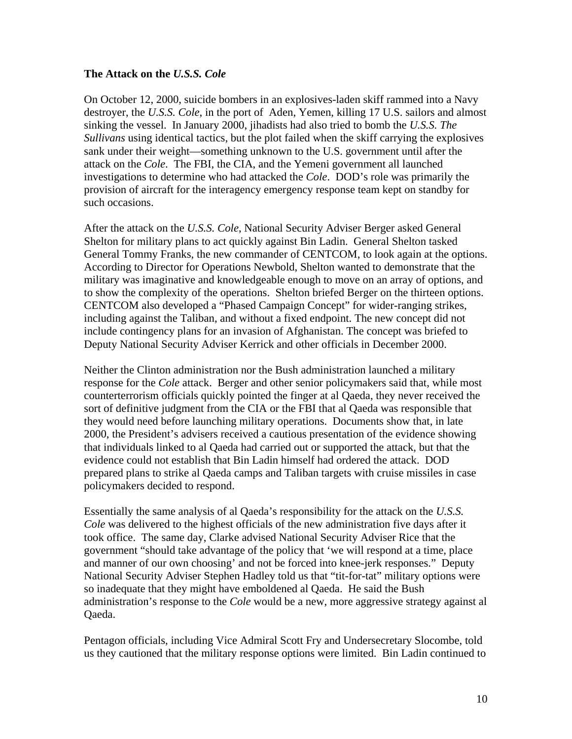### **The Attack on the** *U.S.S. Cole*

On October 12, 2000, suicide bombers in an explosives-laden skiff rammed into a Navy destroyer, the *U.S.S. Cole*, in the port of Aden, Yemen, killing 17 U.S. sailors and almost sinking the vessel. In January 2000, jihadists had also tried to bomb the *U.S.S. The Sullivans* using identical tactics, but the plot failed when the skiff carrying the explosives sank under their weight—something unknown to the U.S. government until after the attack on the *Cole*. The FBI, the CIA, and the Yemeni government all launched investigations to determine who had attacked the *Cole*. DOD's role was primarily the provision of aircraft for the interagency emergency response team kept on standby for such occasions.

After the attack on the *U.S.S. Cole*, National Security Adviser Berger asked General Shelton for military plans to act quickly against Bin Ladin. General Shelton tasked General Tommy Franks, the new commander of CENTCOM, to look again at the options. According to Director for Operations Newbold, Shelton wanted to demonstrate that the military was imaginative and knowledgeable enough to move on an array of options, and to show the complexity of the operations. Shelton briefed Berger on the thirteen options. CENTCOM also developed a "Phased Campaign Concept" for wider-ranging strikes, including against the Taliban, and without a fixed endpoint. The new concept did not include contingency plans for an invasion of Afghanistan. The concept was briefed to Deputy National Security Adviser Kerrick and other officials in December 2000.

Neither the Clinton administration nor the Bush administration launched a military response for the *Cole* attack. Berger and other senior policymakers said that, while most counterterrorism officials quickly pointed the finger at al Qaeda, they never received the sort of definitive judgment from the CIA or the FBI that al Qaeda was responsible that they would need before launching military operations. Documents show that, in late 2000, the President's advisers received a cautious presentation of the evidence showing that individuals linked to al Qaeda had carried out or supported the attack, but that the evidence could not establish that Bin Ladin himself had ordered the attack. DOD prepared plans to strike al Qaeda camps and Taliban targets with cruise missiles in case policymakers decided to respond.

Essentially the same analysis of al Qaeda's responsibility for the attack on the *U.S.S. Cole* was delivered to the highest officials of the new administration five days after it took office. The same day, Clarke advised National Security Adviser Rice that the government "should take advantage of the policy that 'we will respond at a time, place and manner of our own choosing' and not be forced into knee-jerk responses." Deputy National Security Adviser Stephen Hadley told us that "tit-for-tat" military options were so inadequate that they might have emboldened al Qaeda. He said the Bush administration's response to the *Cole* would be a new, more aggressive strategy against al Qaeda.

Pentagon officials, including Vice Admiral Scott Fry and Undersecretary Slocombe, told us they cautioned that the military response options were limited. Bin Ladin continued to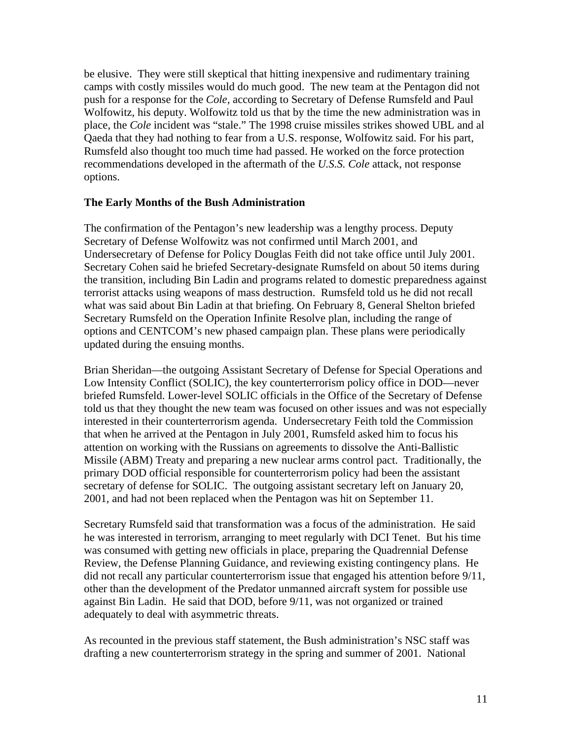be elusive. They were still skeptical that hitting inexpensive and rudimentary training camps with costly missiles would do much good. The new team at the Pentagon did not push for a response for the *Cole,* according to Secretary of Defense Rumsfeld and Paul Wolfowitz, his deputy. Wolfowitz told us that by the time the new administration was in place, the *Cole* incident was "stale." The 1998 cruise missiles strikes showed UBL and al Qaeda that they had nothing to fear from a U.S. response, Wolfowitz said. For his part, Rumsfeld also thought too much time had passed. He worked on the force protection recommendations developed in the aftermath of the *U.S.S. Cole* attack, not response options.

### **The Early Months of the Bush Administration**

The confirmation of the Pentagon's new leadership was a lengthy process. Deputy Secretary of Defense Wolfowitz was not confirmed until March 2001, and Undersecretary of Defense for Policy Douglas Feith did not take office until July 2001. Secretary Cohen said he briefed Secretary-designate Rumsfeld on about 50 items during the transition, including Bin Ladin and programs related to domestic preparedness against terrorist attacks using weapons of mass destruction. Rumsfeld told us he did not recall what was said about Bin Ladin at that briefing. On February 8, General Shelton briefed Secretary Rumsfeld on the Operation Infinite Resolve plan, including the range of options and CENTCOM's new phased campaign plan. These plans were periodically updated during the ensuing months.

Brian Sheridan—the outgoing Assistant Secretary of Defense for Special Operations and Low Intensity Conflict (SOLIC), the key counterterrorism policy office in DOD—never briefed Rumsfeld. Lower-level SOLIC officials in the Office of the Secretary of Defense told us that they thought the new team was focused on other issues and was not especially interested in their counterterrorism agenda. Undersecretary Feith told the Commission that when he arrived at the Pentagon in July 2001, Rumsfeld asked him to focus his attention on working with the Russians on agreements to dissolve the Anti-Ballistic Missile (ABM) Treaty and preparing a new nuclear arms control pact. Traditionally, the primary DOD official responsible for counterterrorism policy had been the assistant secretary of defense for SOLIC. The outgoing assistant secretary left on January 20, 2001, and had not been replaced when the Pentagon was hit on September 11.

Secretary Rumsfeld said that transformation was a focus of the administration. He said he was interested in terrorism, arranging to meet regularly with DCI Tenet. But his time was consumed with getting new officials in place, preparing the Quadrennial Defense Review, the Defense Planning Guidance, and reviewing existing contingency plans. He did not recall any particular counterterrorism issue that engaged his attention before 9/11, other than the development of the Predator unmanned aircraft system for possible use against Bin Ladin. He said that DOD, before 9/11, was not organized or trained adequately to deal with asymmetric threats.

As recounted in the previous staff statement, the Bush administration's NSC staff was drafting a new counterterrorism strategy in the spring and summer of 2001. National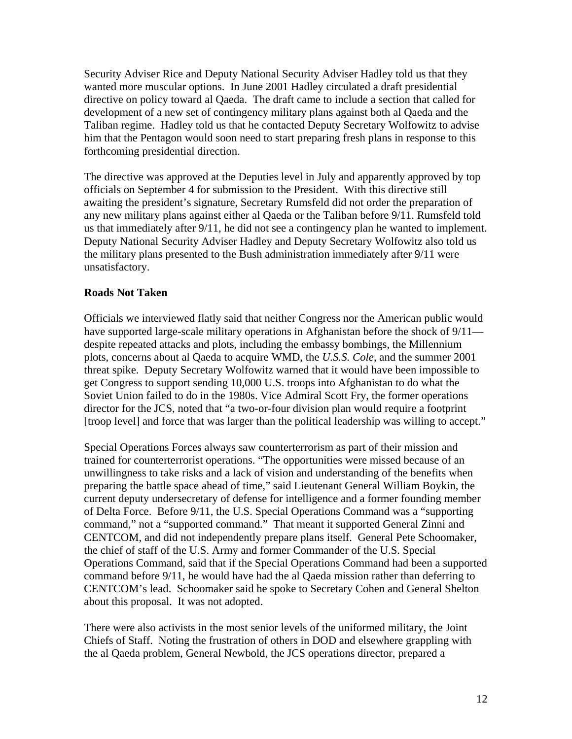Security Adviser Rice and Deputy National Security Adviser Hadley told us that they wanted more muscular options. In June 2001 Hadley circulated a draft presidential directive on policy toward al Qaeda. The draft came to include a section that called for development of a new set of contingency military plans against both al Qaeda and the Taliban regime. Hadley told us that he contacted Deputy Secretary Wolfowitz to advise him that the Pentagon would soon need to start preparing fresh plans in response to this forthcoming presidential direction.

The directive was approved at the Deputies level in July and apparently approved by top officials on September 4 for submission to the President. With this directive still awaiting the president's signature, Secretary Rumsfeld did not order the preparation of any new military plans against either al Qaeda or the Taliban before 9/11. Rumsfeld told us that immediately after 9/11, he did not see a contingency plan he wanted to implement. Deputy National Security Adviser Hadley and Deputy Secretary Wolfowitz also told us the military plans presented to the Bush administration immediately after 9/11 were unsatisfactory.

### **Roads Not Taken**

Officials we interviewed flatly said that neither Congress nor the American public would have supported large-scale military operations in Afghanistan before the shock of  $9/11$  despite repeated attacks and plots, including the embassy bombings, the Millennium plots, concerns about al Qaeda to acquire WMD, the *U.S.S. Cole*, and the summer 2001 threat spike. Deputy Secretary Wolfowitz warned that it would have been impossible to get Congress to support sending 10,000 U.S. troops into Afghanistan to do what the Soviet Union failed to do in the 1980s. Vice Admiral Scott Fry, the former operations director for the JCS, noted that "a two-or-four division plan would require a footprint [troop level] and force that was larger than the political leadership was willing to accept."

Special Operations Forces always saw counterterrorism as part of their mission and trained for counterterrorist operations. "The opportunities were missed because of an unwillingness to take risks and a lack of vision and understanding of the benefits when preparing the battle space ahead of time," said Lieutenant General William Boykin, the current deputy undersecretary of defense for intelligence and a former founding member of Delta Force. Before 9/11, the U.S. Special Operations Command was a "supporting command," not a "supported command." That meant it supported General Zinni and CENTCOM, and did not independently prepare plans itself. General Pete Schoomaker, the chief of staff of the U.S. Army and former Commander of the U.S. Special Operations Command, said that if the Special Operations Command had been a supported command before 9/11, he would have had the al Qaeda mission rather than deferring to CENTCOM's lead. Schoomaker said he spoke to Secretary Cohen and General Shelton about this proposal. It was not adopted.

There were also activists in the most senior levels of the uniformed military, the Joint Chiefs of Staff. Noting the frustration of others in DOD and elsewhere grappling with the al Qaeda problem, General Newbold, the JCS operations director, prepared a